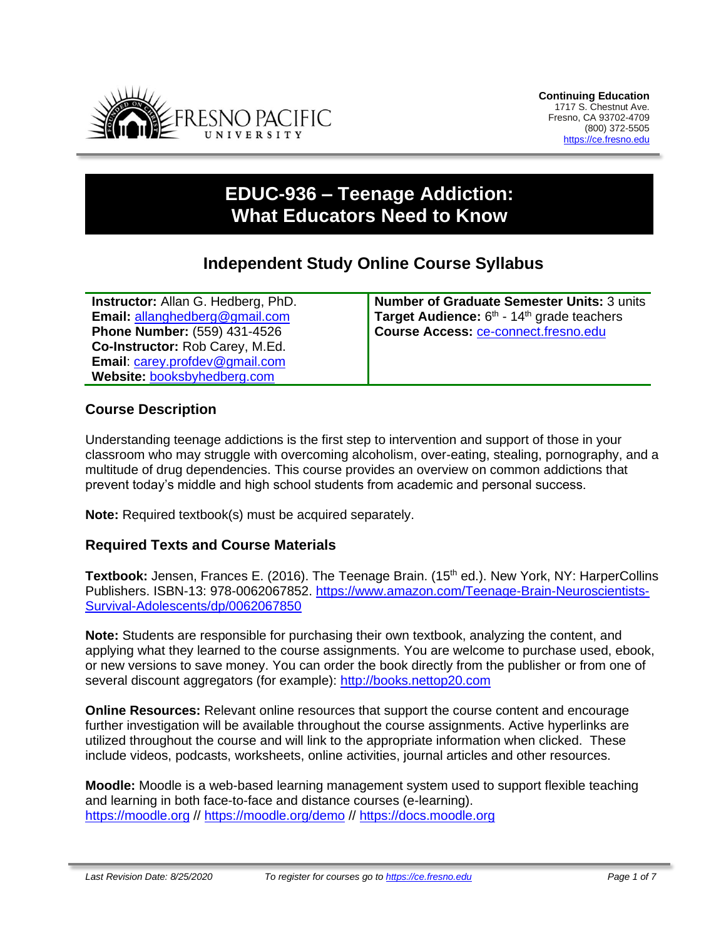

# **EDUC-936 – Teenage Addiction: What Educators Need to Know**

## **Independent Study Online Course Syllabus**

**Instructor:** Allan G. Hedberg, PhD. **Email:** [allanghedberg@gmail.com](mailto:allanghedberg@gmail.com) **Phone Number:** (559) 431-4526 **Co-Instructor:** Rob Carey, M.Ed. **Email**: [carey.profdev@gmail.com](mailto:carey.profdev@gmail.com) **Website:** [booksbyhedberg.com](http://fpucourses.com/)

**Number of Graduate Semester Units:** 3 units Target Audience: 6<sup>th</sup> - 14<sup>th</sup> grade teachers **Course Access:** [ce-connect.fresno.edu](https://ce-connect.fresno.edu/)

#### **Course Description**

Understanding teenage addictions is the first step to intervention and support of those in your classroom who may struggle with overcoming alcoholism, over-eating, stealing, pornography, and a multitude of drug dependencies. This course provides an overview on common addictions that prevent today's middle and high school students from academic and personal success.

**Note:** Required textbook(s) must be acquired separately.

#### **Required Texts and Course Materials**

Textbook: Jensen, Frances E. (2016). The Teenage Brain. (15<sup>th</sup> ed.). New York, NY: HarperCollins Publishers. ISBN-13: 978-0062067852. [https://www.amazon.com/Teenage-Brain-Neuroscientists-](https://www.amazon.com/Teenage-Brain-Neuroscientists-Survival-Adolescents/dp/0062067850)[Survival-Adolescents/dp/0062067850](https://www.amazon.com/Teenage-Brain-Neuroscientists-Survival-Adolescents/dp/0062067850)

**Note:** Students are responsible for purchasing their own textbook, analyzing the content, and applying what they learned to the course assignments. You are welcome to purchase used, ebook, or new versions to save money. You can order the book directly from the publisher or from one of several discount aggregators (for example): [http://books.nettop20.com](http://books.nettop20.com/)

**Online Resources:** Relevant online resources that support the course content and encourage further investigation will be available throughout the course assignments. Active hyperlinks are utilized throughout the course and will link to the appropriate information when clicked. These include videos, podcasts, worksheets, online activities, journal articles and other resources.

**Moodle:** Moodle is a web-based learning management system used to support flexible teaching and learning in both face-to-face and distance courses (e-learning). [https://moodle.org](https://moodle.org/) // <https://moodle.org/demo> // [https://docs.moodle.org](https://docs.moodle.org/)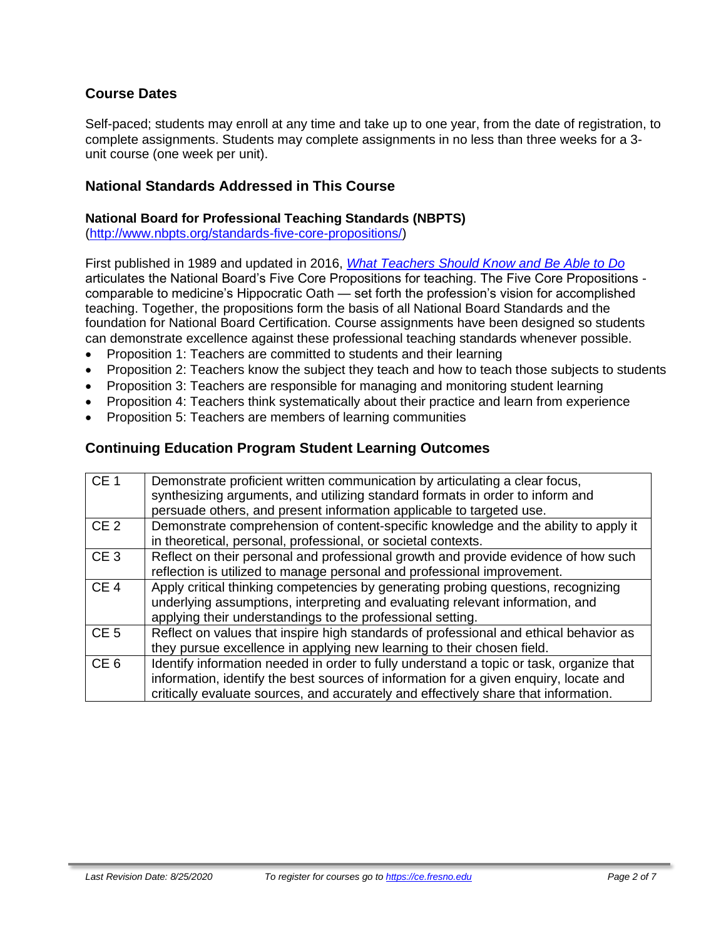## **Course Dates**

Self-paced; students may enroll at any time and take up to one year, from the date of registration, to complete assignments. Students may complete assignments in no less than three weeks for a 3 unit course (one week per unit).

#### **National Standards Addressed in This Course**

#### **National Board for Professional Teaching Standards (NBPTS)**

[\(http://www.nbpts.org/standards-five-core-propositions/\)](http://www.nbpts.org/standards-five-core-propositions/)

First published in 1989 and updated in 2016, *[What Teachers Should Know and Be Able to Do](http://www.accomplishedteacher.org/)* articulates the National Board's Five Core Propositions for teaching. The Five Core Propositions comparable to medicine's Hippocratic Oath — set forth the profession's vision for accomplished teaching. Together, the propositions form the basis of all National Board Standards and the foundation for National Board Certification. Course assignments have been designed so students can demonstrate excellence against these professional teaching standards whenever possible.

- Proposition 1: Teachers are committed to students and their learning
- Proposition 2: Teachers know the subject they teach and how to teach those subjects to students
- Proposition 3: Teachers are responsible for managing and monitoring student learning
- Proposition 4: Teachers think systematically about their practice and learn from experience
- Proposition 5: Teachers are members of learning communities

#### **Continuing Education Program Student Learning Outcomes**

| CE <sub>1</sub> | Demonstrate proficient written communication by articulating a clear focus,<br>synthesizing arguments, and utilizing standard formats in order to inform and<br>persuade others, and present information applicable to targeted use.                                    |
|-----------------|-------------------------------------------------------------------------------------------------------------------------------------------------------------------------------------------------------------------------------------------------------------------------|
| CE <sub>2</sub> | Demonstrate comprehension of content-specific knowledge and the ability to apply it                                                                                                                                                                                     |
|                 | in theoretical, personal, professional, or societal contexts.                                                                                                                                                                                                           |
| CE <sub>3</sub> | Reflect on their personal and professional growth and provide evidence of how such                                                                                                                                                                                      |
|                 | reflection is utilized to manage personal and professional improvement.                                                                                                                                                                                                 |
| CE <sub>4</sub> | Apply critical thinking competencies by generating probing questions, recognizing<br>underlying assumptions, interpreting and evaluating relevant information, and<br>applying their understandings to the professional setting.                                        |
| CE <sub>5</sub> | Reflect on values that inspire high standards of professional and ethical behavior as<br>they pursue excellence in applying new learning to their chosen field.                                                                                                         |
| CE <sub>6</sub> | Identify information needed in order to fully understand a topic or task, organize that<br>information, identify the best sources of information for a given enquiry, locate and<br>critically evaluate sources, and accurately and effectively share that information. |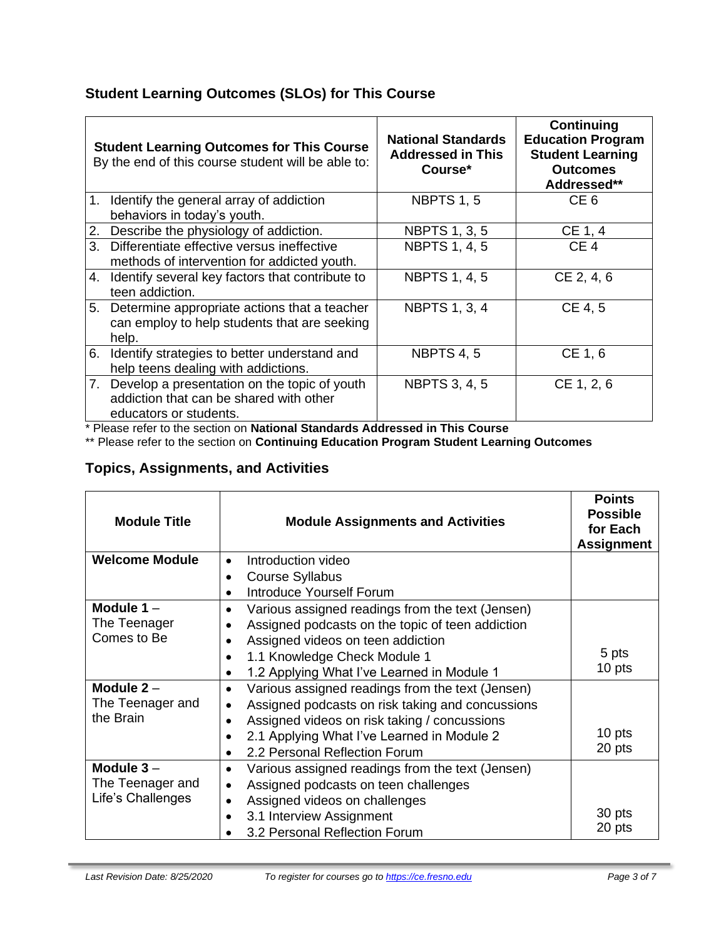## **Student Learning Outcomes (SLOs) for This Course**

| <b>Student Learning Outcomes for This Course</b><br>By the end of this course student will be able to: |                                                                                                                      | <b>National Standards</b><br><b>Addressed in This</b><br>Course* | Continuing<br><b>Education Program</b><br><b>Student Learning</b><br><b>Outcomes</b><br>Addressed** |
|--------------------------------------------------------------------------------------------------------|----------------------------------------------------------------------------------------------------------------------|------------------------------------------------------------------|-----------------------------------------------------------------------------------------------------|
|                                                                                                        | 1. Identify the general array of addiction<br>behaviors in today's youth.                                            | <b>NBPTS 1, 5</b>                                                | CE <sub>6</sub>                                                                                     |
| 2.                                                                                                     | Describe the physiology of addiction.                                                                                | <b>NBPTS 1, 3, 5</b>                                             | CE 1, 4                                                                                             |
|                                                                                                        | 3. Differentiate effective versus ineffective<br>methods of intervention for addicted youth.                         | <b>NBPTS 1, 4, 5</b>                                             | CE <sub>4</sub>                                                                                     |
| 4.                                                                                                     | Identify several key factors that contribute to<br>teen addiction.                                                   | <b>NBPTS 1, 4, 5</b>                                             | CE 2, 4, 6                                                                                          |
| 5.                                                                                                     | Determine appropriate actions that a teacher<br>can employ to help students that are seeking<br>help.                | <b>NBPTS 1, 3, 4</b>                                             | CE 4, 5                                                                                             |
| 6.                                                                                                     | Identify strategies to better understand and<br>help teens dealing with addictions.                                  | <b>NBPTS 4, 5</b>                                                | CE 1, 6                                                                                             |
|                                                                                                        | 7. Develop a presentation on the topic of youth<br>addiction that can be shared with other<br>educators or students. | <b>NBPTS 3, 4, 5</b>                                             | CE 1, 2, 6                                                                                          |

\* Please refer to the section on **National Standards Addressed in This Course**

\*\* Please refer to the section on **Continuing Education Program Student Learning Outcomes**

## **Topics, Assignments, and Activities**

| <b>Module Title</b>   | <b>Module Assignments and Activities</b>                      | <b>Points</b><br><b>Possible</b><br>for Each<br><b>Assignment</b> |
|-----------------------|---------------------------------------------------------------|-------------------------------------------------------------------|
| <b>Welcome Module</b> | Introduction video<br>$\bullet$                               |                                                                   |
|                       | <b>Course Syllabus</b>                                        |                                                                   |
|                       | Introduce Yourself Forum                                      |                                                                   |
| Module $1 -$          | Various assigned readings from the text (Jensen)              |                                                                   |
| The Teenager          | Assigned podcasts on the topic of teen addiction              |                                                                   |
| Comes to Be           | Assigned videos on teen addiction                             |                                                                   |
|                       | 1.1 Knowledge Check Module 1<br>$\bullet$                     | 5 pts                                                             |
|                       | 1.2 Applying What I've Learned in Module 1                    | 10 pts                                                            |
| Module $2 -$          | Various assigned readings from the text (Jensen)<br>٠         |                                                                   |
| The Teenager and      | Assigned podcasts on risk taking and concussions              |                                                                   |
| the Brain             | Assigned videos on risk taking / concussions                  |                                                                   |
|                       | 2.1 Applying What I've Learned in Module 2                    | 10 pts                                                            |
|                       | 2.2 Personal Reflection Forum                                 | 20 pts                                                            |
| Module $3-$           | Various assigned readings from the text (Jensen)<br>$\bullet$ |                                                                   |
| The Teenager and      | Assigned podcasts on teen challenges                          |                                                                   |
| Life's Challenges     | Assigned videos on challenges<br>$\bullet$                    |                                                                   |
|                       | 3.1 Interview Assignment<br>٠                                 | 30 pts                                                            |
|                       | 3.2 Personal Reflection Forum                                 | 20 pts                                                            |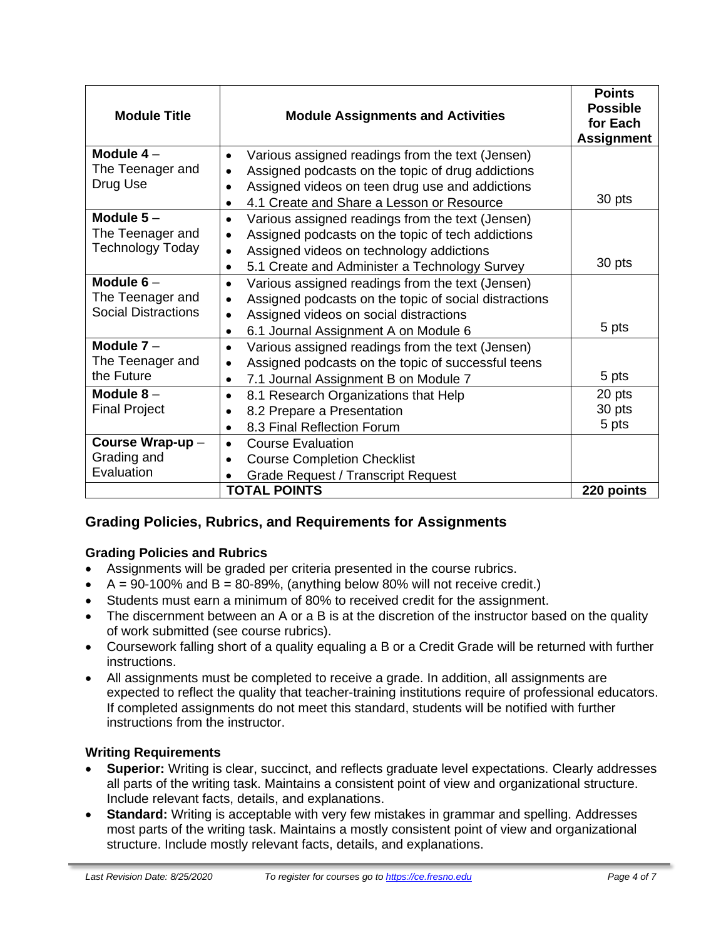| <b>Module Title</b>          | <b>Module Assignments and Activities</b>                                                                  | <b>Points</b><br><b>Possible</b><br>for Each<br><b>Assignment</b> |
|------------------------------|-----------------------------------------------------------------------------------------------------------|-------------------------------------------------------------------|
| Module $4-$                  | Various assigned readings from the text (Jensen)<br>$\bullet$                                             |                                                                   |
| The Teenager and<br>Drug Use | Assigned podcasts on the topic of drug addictions                                                         |                                                                   |
|                              | Assigned videos on teen drug use and addictions<br>4.1 Create and Share a Lesson or Resource<br>$\bullet$ | 30 pts                                                            |
| Module $5-$                  | Various assigned readings from the text (Jensen)<br>٠                                                     |                                                                   |
| The Teenager and             | Assigned podcasts on the topic of tech addictions<br>$\bullet$                                            |                                                                   |
| <b>Technology Today</b>      | Assigned videos on technology addictions<br>$\bullet$                                                     |                                                                   |
|                              | 5.1 Create and Administer a Technology Survey<br>٠                                                        | 30 pts                                                            |
| Module $6-$                  | Various assigned readings from the text (Jensen)<br>$\bullet$                                             |                                                                   |
| The Teenager and             | Assigned podcasts on the topic of social distractions<br>$\bullet$                                        |                                                                   |
| <b>Social Distractions</b>   | Assigned videos on social distractions<br>$\bullet$                                                       |                                                                   |
|                              | 6.1 Journal Assignment A on Module 6<br>$\bullet$                                                         | 5 pts                                                             |
| Module $7 -$                 | Various assigned readings from the text (Jensen)<br>$\bullet$                                             |                                                                   |
| The Teenager and             | Assigned podcasts on the topic of successful teens<br>$\bullet$                                           |                                                                   |
| the Future                   | 7.1 Journal Assignment B on Module 7                                                                      | 5 pts                                                             |
| Module $8-$                  | 8.1 Research Organizations that Help<br>$\bullet$                                                         | 20 pts                                                            |
| <b>Final Project</b>         | 8.2 Prepare a Presentation                                                                                | 30 pts                                                            |
|                              | 8.3 Final Reflection Forum                                                                                | 5 pts                                                             |
| Course Wrap-up-              | <b>Course Evaluation</b><br>$\bullet$                                                                     |                                                                   |
| Grading and                  | <b>Course Completion Checklist</b><br>$\bullet$                                                           |                                                                   |
| Evaluation                   | <b>Grade Request / Transcript Request</b>                                                                 |                                                                   |
|                              | <b>TOTAL POINTS</b>                                                                                       | 220 points                                                        |

## **Grading Policies, Rubrics, and Requirements for Assignments**

#### **Grading Policies and Rubrics**

- Assignments will be graded per criteria presented in the course rubrics.
- $A = 90-100\%$  and  $B = 80-89\%$ , (anything below 80% will not receive credit.)
- Students must earn a minimum of 80% to received credit for the assignment.
- The discernment between an A or a B is at the discretion of the instructor based on the quality of work submitted (see course rubrics).
- Coursework falling short of a quality equaling a B or a Credit Grade will be returned with further instructions.
- All assignments must be completed to receive a grade. In addition, all assignments are expected to reflect the quality that teacher-training institutions require of professional educators. If completed assignments do not meet this standard, students will be notified with further instructions from the instructor.

#### **Writing Requirements**

- **Superior:** Writing is clear, succinct, and reflects graduate level expectations. Clearly addresses all parts of the writing task. Maintains a consistent point of view and organizational structure. Include relevant facts, details, and explanations.
- **Standard:** Writing is acceptable with very few mistakes in grammar and spelling. Addresses most parts of the writing task. Maintains a mostly consistent point of view and organizational structure. Include mostly relevant facts, details, and explanations.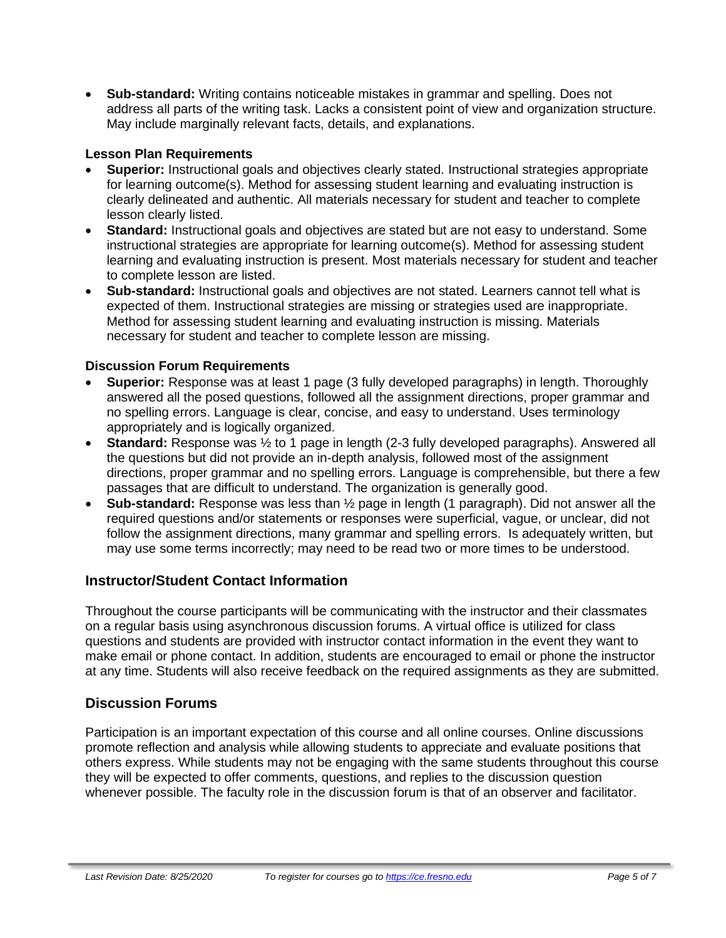• **Sub-standard:** Writing contains noticeable mistakes in grammar and spelling. Does not address all parts of the writing task. Lacks a consistent point of view and organization structure. May include marginally relevant facts, details, and explanations.

#### **Lesson Plan Requirements**

- **Superior:** Instructional goals and objectives clearly stated. Instructional strategies appropriate for learning outcome(s). Method for assessing student learning and evaluating instruction is clearly delineated and authentic. All materials necessary for student and teacher to complete lesson clearly listed.
- **Standard:** Instructional goals and objectives are stated but are not easy to understand. Some instructional strategies are appropriate for learning outcome(s). Method for assessing student learning and evaluating instruction is present. Most materials necessary for student and teacher to complete lesson are listed.
- **Sub-standard:** Instructional goals and objectives are not stated. Learners cannot tell what is expected of them. Instructional strategies are missing or strategies used are inappropriate. Method for assessing student learning and evaluating instruction is missing. Materials necessary for student and teacher to complete lesson are missing.

#### **Discussion Forum Requirements**

- **Superior:** Response was at least 1 page (3 fully developed paragraphs) in length. Thoroughly answered all the posed questions, followed all the assignment directions, proper grammar and no spelling errors. Language is clear, concise, and easy to understand. Uses terminology appropriately and is logically organized.
- **Standard:** Response was ½ to 1 page in length (2-3 fully developed paragraphs). Answered all the questions but did not provide an in-depth analysis, followed most of the assignment directions, proper grammar and no spelling errors. Language is comprehensible, but there a few passages that are difficult to understand. The organization is generally good.
- **Sub-standard:** Response was less than ½ page in length (1 paragraph). Did not answer all the required questions and/or statements or responses were superficial, vague, or unclear, did not follow the assignment directions, many grammar and spelling errors. Is adequately written, but may use some terms incorrectly; may need to be read two or more times to be understood.

#### **Instructor/Student Contact Information**

Throughout the course participants will be communicating with the instructor and their classmates on a regular basis using asynchronous discussion forums. A virtual office is utilized for class questions and students are provided with instructor contact information in the event they want to make email or phone contact. In addition, students are encouraged to email or phone the instructor at any time. Students will also receive feedback on the required assignments as they are submitted.

#### **Discussion Forums**

Participation is an important expectation of this course and all online courses. Online discussions promote reflection and analysis while allowing students to appreciate and evaluate positions that others express. While students may not be engaging with the same students throughout this course they will be expected to offer comments, questions, and replies to the discussion question whenever possible. The faculty role in the discussion forum is that of an observer and facilitator.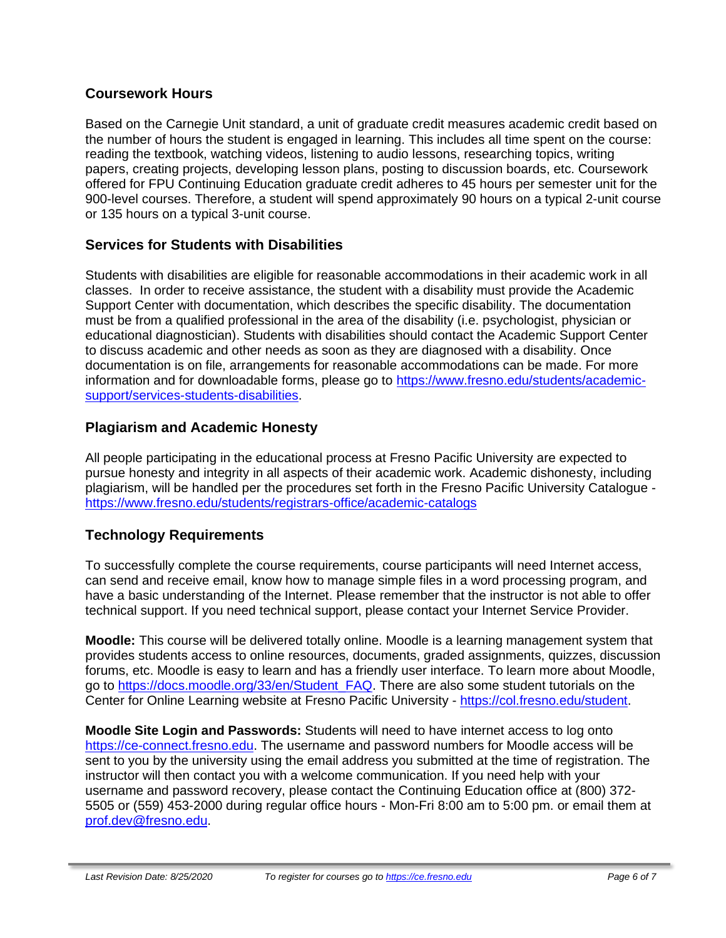#### **Coursework Hours**

Based on the Carnegie Unit standard, a unit of graduate credit measures academic credit based on the number of hours the student is engaged in learning. This includes all time spent on the course: reading the textbook, watching videos, listening to audio lessons, researching topics, writing papers, creating projects, developing lesson plans, posting to discussion boards, etc. Coursework offered for FPU Continuing Education graduate credit adheres to 45 hours per semester unit for the 900-level courses. Therefore, a student will spend approximately 90 hours on a typical 2-unit course or 135 hours on a typical 3-unit course.

## **Services for Students with Disabilities**

Students with disabilities are eligible for reasonable accommodations in their academic work in all classes. In order to receive assistance, the student with a disability must provide the Academic Support Center with documentation, which describes the specific disability. The documentation must be from a qualified professional in the area of the disability (i.e. psychologist, physician or educational diagnostician). Students with disabilities should contact the Academic Support Center to discuss academic and other needs as soon as they are diagnosed with a disability. Once documentation is on file, arrangements for reasonable accommodations can be made. For more information and for downloadable forms, please go to [https://www.fresno.edu/students/academic](https://www.fresno.edu/students/academic-support/services-students-disabilities)[support/services-students-disabilities.](https://www.fresno.edu/students/academic-support/services-students-disabilities)

## **Plagiarism and Academic Honesty**

All people participating in the educational process at Fresno Pacific University are expected to pursue honesty and integrity in all aspects of their academic work. Academic dishonesty, including plagiarism, will be handled per the procedures set forth in the Fresno Pacific University Catalogue <https://www.fresno.edu/students/registrars-office/academic-catalogs>

## **Technology Requirements**

To successfully complete the course requirements, course participants will need Internet access, can send and receive email, know how to manage simple files in a word processing program, and have a basic understanding of the Internet. Please remember that the instructor is not able to offer technical support. If you need technical support, please contact your Internet Service Provider.

**Moodle:** This course will be delivered totally online. Moodle is a learning management system that provides students access to online resources, documents, graded assignments, quizzes, discussion forums, etc. Moodle is easy to learn and has a friendly user interface. To learn more about Moodle, go to [https://docs.moodle.org/33/en/Student\\_FAQ.](https://docs.moodle.org/33/en/Student_FAQ) There are also some student tutorials on the Center for Online Learning website at Fresno Pacific University - [https://col.fresno.edu/student.](https://col.fresno.edu/student)

**Moodle Site Login and Passwords:** Students will need to have internet access to log onto [https://ce-connect.fresno.edu.](https://ce-connect.fresno.edu/) The username and password numbers for Moodle access will be sent to you by the university using the email address you submitted at the time of registration. The instructor will then contact you with a welcome communication. If you need help with your username and password recovery, please contact the Continuing Education office at (800) 372- 5505 or (559) 453-2000 during regular office hours - Mon-Fri 8:00 am to 5:00 pm. or email them at [prof.dev@fresno.edu.](mailto:prof.dev@fresno.edu)